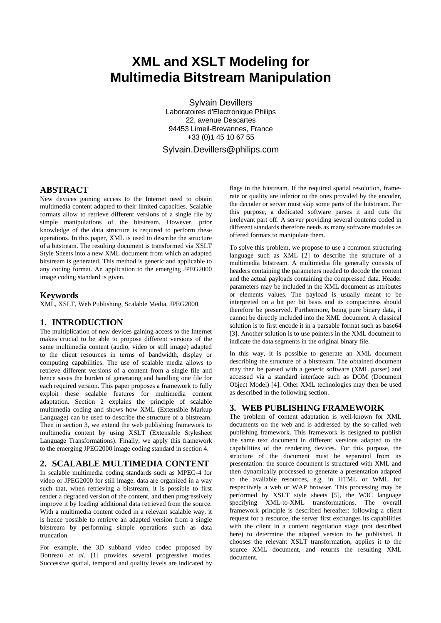# **XML and XSLT Modeling for Multimedia Bitstream Manipulation**

Sylvain Devillers Laboratoires d'Electronique Philips 22, avenue Descartes 94453 Limeil-Brevannes, France +33 (0)1 45 10 67 55 Sylvain.Devillers@philips.com

## **ABSTRACT**

New devices gaining access to the Internet need to obtain multimedia content adapted to their limited capacities. Scalable formats allow to retrieve different versions of a single file by simple manipulations of the bitstream. However, prior knowledge of the data structure is required to perform these operations. In this paper, XML is used to describe the structure of a bitstream. The resulting document is transformed via XSLT Style Sheets into a new XML document from which an adapted bitstream is generated. This method is generic and applicable to any coding format. An application to the emerging JPEG2000 image coding standard is given.

#### **Keywords**

XML, XSLT, Web Publishing, Scalable Media, JPEG2000.

## **1. INTRODUCTION**

The multiplication of new devices gaining access to the Internet makes crucial to be able to propose different versions of the same multimedia content (audio, video or still image) adapted to the client resources in terms of bandwidth, display or computing capabilities. The use of scalable media allows to retrieve different versions of a content from a single file and hence saves the burden of generating and handling one file for each required version. This paper proposes a framework to fully exploit these scalable features for multimedia content adaptation. Section 2 explains the principle of scalable multimedia coding and shows how XML (Extensible Markup Language) can be used to describe the structure of a bitstream. Then in section 3, we extend the web publishing framework to multimedia content by using XSLT (Extensible Stylesheet Language Transformations). Finally, we apply this framework to the emerging JPEG2000 image coding standard in section 4.

## **2. SCALABLE MULTIMEDIA CONTENT**

In scalable multimedia coding standards such as MPEG-4 for video or JPEG2000 for still image, data are organized in a way such that, when retrieving a bitstream, it is possible to first render a degraded version of the content, and then progressively improve it by loading additional data retrieved from the source. With a multimedia content coded in a relevant scalable way, it is hence possible to retrieve an adapted version from a single bitstream by performing simple operations such as data truncation.

For example, the 3D subband video codec proposed by Bottreau *et al.* [1] provides several progressive modes. Successive spatial, temporal and quality levels are indicated by flags in the bitstream. If the required spatial resolution, framerate or quality are inferior to the ones provided by the encoder, the decoder or server must skip some parts of the bitstream. For this purpose, a dedicated software parses it and cuts the irrelevant part off. A server providing several contents coded in different standards therefore needs as many software modules as offered formats to manipulate them.

To solve this problem, we propose to use a common structuring language such as XML [2] to describe the structure of a multimedia bitstream. A multimedia file generally consists of headers containing the parameters needed to decode the content and the actual payloads containing the compressed data. Header parameters may be included in the XML document as attributes or elements values. The payload is usually meant to be interpreted on a bit per bit basis and its compactness should therefore be preserved. Furthermore, being pure binary data, it cannot be directly included into the XML document. A classical solution is to first encode it in a parsable format such as base64 [3]. Another solution is to use pointers in the XML document to indicate the data segments in the original binary file.

In this way, it is possible to generate an XML document describing the structure of a bitstream. The obtained document may then be parsed with a generic software (XML parser) and accessed via a standard interface such as DOM (Document Object Model) [4]. Other XML technologies may then be used as described in the following section.

## **3. WEB PUBLISHING FRAMEWORK**

The problem of content adaptation is well-known for XML documents on the web and is addressed by the so-called web publishing framework. This framework is designed to publish the same text document in different versions adapted to the capabilities of the rendering devices. For this purpose, the structure of the document must be separated from its presentation: the source document is structured with XML and then dynamically processed to generate a presentation adapted to the available resources, e.g. in HTML or WML for respectively a web or WAP browser. This processing may be performed by XSLT style sheets [5], the W3C language specifying XML-to-XML transformations. The overall framework principle is described hereafter: following a client request for a resource, the server first exchanges its capabilities with the client in a content negotiation stage (not described here) to determine the adapted version to be published. It chooses the relevant XSLT transformation, applies it to the source XML document, and returns the resulting XML document.